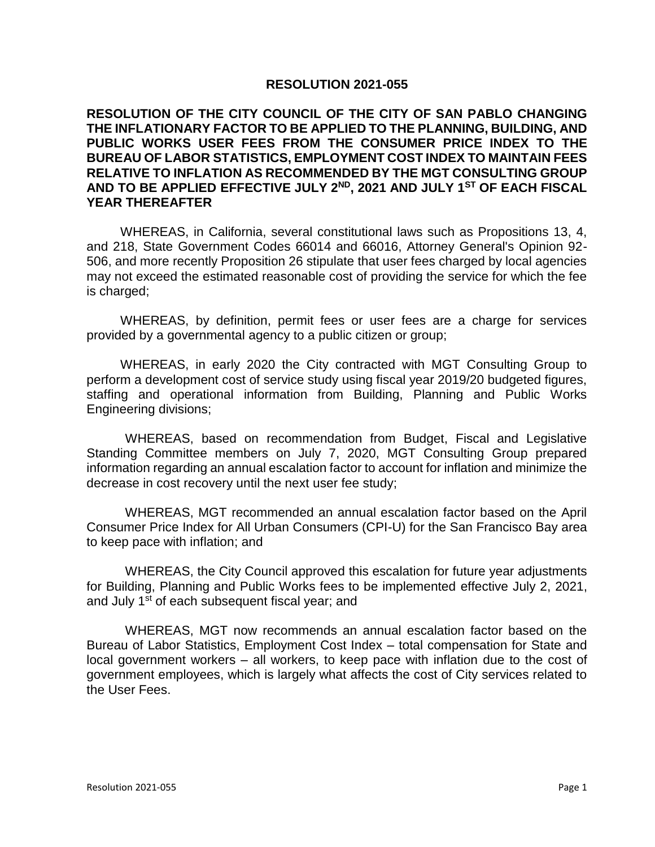## **RESOLUTION 2021-055**

## **RESOLUTION OF THE CITY COUNCIL OF THE CITY OF SAN PABLO CHANGING THE INFLATIONARY FACTOR TO BE APPLIED TO THE PLANNING, BUILDING, AND PUBLIC WORKS USER FEES FROM THE CONSUMER PRICE INDEX TO THE BUREAU OF LABOR STATISTICS, EMPLOYMENT COST INDEX TO MAINTAIN FEES RELATIVE TO INFLATION AS RECOMMENDED BY THE MGT CONSULTING GROUP AND TO BE APPLIED EFFECTIVE JULY 2 ND, 2021 AND JULY 1ST OF EACH FISCAL YEAR THEREAFTER**

WHEREAS, in California, several constitutional laws such as Propositions 13, 4, and 218, State Government Codes 66014 and 66016, Attorney General's Opinion 92- 506, and more recently Proposition 26 stipulate that user fees charged by local agencies may not exceed the estimated reasonable cost of providing the service for which the fee is charged;

WHEREAS, by definition, permit fees or user fees are a charge for services provided by a governmental agency to a public citizen or group;

WHEREAS, in early 2020 the City contracted with MGT Consulting Group to perform a development cost of service study using fiscal year 2019/20 budgeted figures, staffing and operational information from Building, Planning and Public Works Engineering divisions;

WHEREAS, based on recommendation from Budget, Fiscal and Legislative Standing Committee members on July 7, 2020, MGT Consulting Group prepared information regarding an annual escalation factor to account for inflation and minimize the decrease in cost recovery until the next user fee study;

WHEREAS, MGT recommended an annual escalation factor based on the April Consumer Price Index for All Urban Consumers (CPI-U) for the San Francisco Bay area to keep pace with inflation; and

WHEREAS, the City Council approved this escalation for future year adjustments for Building, Planning and Public Works fees to be implemented effective July 2, 2021, and July 1<sup>st</sup> of each subsequent fiscal year; and

WHEREAS, MGT now recommends an annual escalation factor based on the Bureau of Labor Statistics, Employment Cost Index – total compensation for State and local government workers – all workers, to keep pace with inflation due to the cost of government employees, which is largely what affects the cost of City services related to the User Fees.